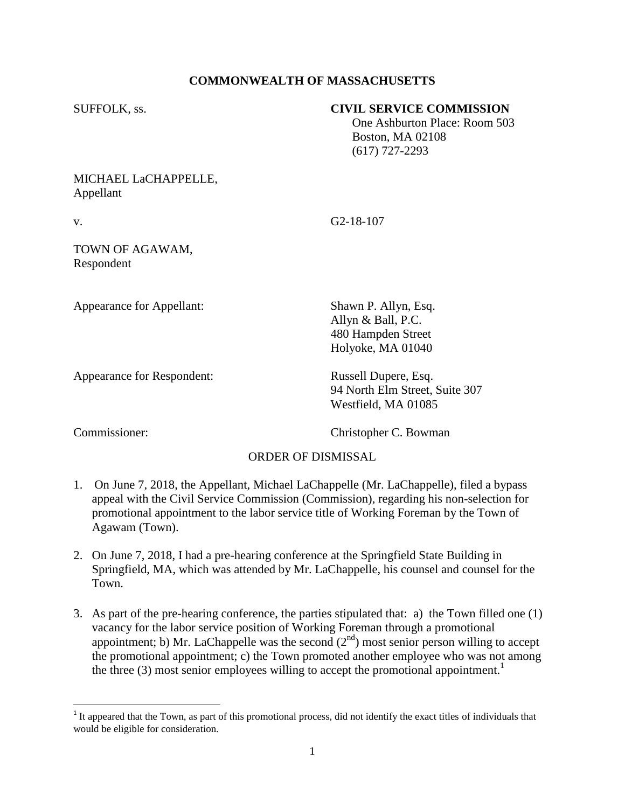## **COMMONWEALTH OF MASSACHUSETTS**

#### SUFFOLK, ss. **CIVIL SERVICE COMMISSION**

 One Ashburton Place: Room 503 Boston, MA 02108 (617) 727-2293

## MICHAEL LaCHAPPELLE, Appellant

v. G2-18-107

### TOWN OF AGAWAM, Respondent

Appearance for Appellant: Shawn P. Allyn, Esq.

Appearance for Respondent: Russell Dupere, Esq.

94 North Elm Street, Suite 307 Westfield, MA 01085

Commissioner: Christopher C. Bowman

Allyn & Ball, P.C. 480 Hampden Street Holyoke, MA 01040

# ORDER OF DISMISSAL

- 1. On June 7, 2018, the Appellant, Michael LaChappelle (Mr. LaChappelle), filed a bypass appeal with the Civil Service Commission (Commission), regarding his non-selection for promotional appointment to the labor service title of Working Foreman by the Town of Agawam (Town).
- 2. On June 7, 2018, I had a pre-hearing conference at the Springfield State Building in Springfield, MA, which was attended by Mr. LaChappelle, his counsel and counsel for the Town.
- 3. As part of the pre-hearing conference, the parties stipulated that: a) the Town filled one (1) vacancy for the labor service position of Working Foreman through a promotional appointment; b) Mr. LaChappelle was the second  $(2<sup>nd</sup>)$  most senior person willing to accept the promotional appointment; c) the Town promoted another employee who was not among the three (3) most senior employees willing to accept the promotional appointment.<sup>1</sup>

<sup>&</sup>lt;sup>1</sup> It appeared that the Town, as part of this promotional process, did not identify the exact titles of individuals that would be eligible for consideration.